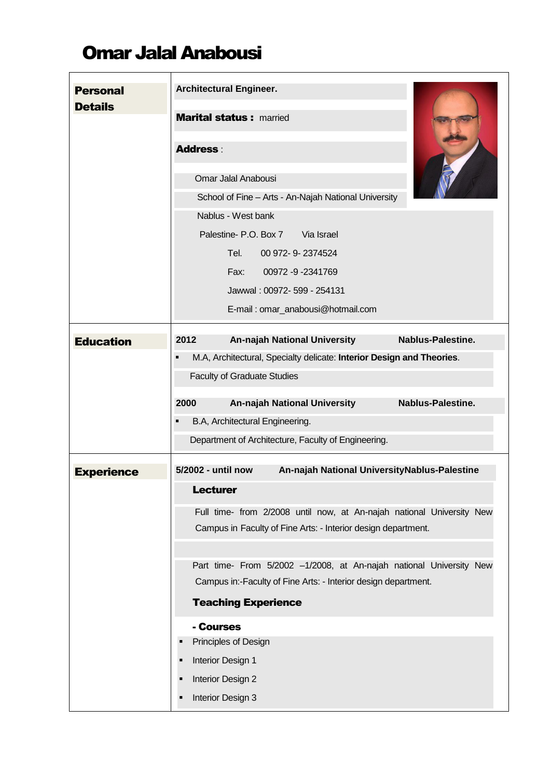## Omar Jalal Anabousi

| <b>Personal</b><br><b>Details</b> | <b>Architectural Engineer.</b><br><b>Marital status: married</b>                                                                                                    |
|-----------------------------------|---------------------------------------------------------------------------------------------------------------------------------------------------------------------|
|                                   | <b>Address:</b>                                                                                                                                                     |
|                                   | Omar Jalal Anabousi                                                                                                                                                 |
|                                   | School of Fine - Arts - An-Najah National University                                                                                                                |
|                                   | Nablus - West bank                                                                                                                                                  |
|                                   | Palestine- P.O. Box 7 Via Israel                                                                                                                                    |
|                                   | Tel.<br>00 972- 9-2374524                                                                                                                                           |
|                                   | Fax: 00972 -9 -2341769                                                                                                                                              |
|                                   | Jawwal: 00972- 599 - 254131                                                                                                                                         |
|                                   | E-mail: omar_anabousi@hotmail.com                                                                                                                                   |
| <b>Education</b>                  | 2012<br><b>An-najah National University</b><br>Nablus-Palestine.                                                                                                    |
|                                   | M.A, Architectural, Specialty delicate: Interior Design and Theories.<br>٠                                                                                          |
|                                   | <b>Faculty of Graduate Studies</b>                                                                                                                                  |
|                                   | <b>An-najah National University</b><br>2000<br>Nablus-Palestine.                                                                                                    |
|                                   | B.A, Architectural Engineering.<br>п                                                                                                                                |
|                                   | Department of Architecture, Faculty of Engineering.                                                                                                                 |
|                                   |                                                                                                                                                                     |
| <b>Experience</b>                 | An-najah National UniversityNablus-Palestine<br>5/2002 - until now                                                                                                  |
|                                   | <b>Lecturer</b>                                                                                                                                                     |
|                                   | Full time- from 2/2008 until now, at An-najah national University New<br>Campus in Faculty of Fine Arts: - Interior design department.                              |
|                                   | Part time- From 5/2002 -1/2008, at An-najah national University New<br>Campus in:-Faculty of Fine Arts: - Interior design department.<br><b>Teaching Experience</b> |
|                                   | - Courses                                                                                                                                                           |
|                                   | Principles of Design                                                                                                                                                |
|                                   | Interior Design 1                                                                                                                                                   |
|                                   |                                                                                                                                                                     |
|                                   | Interior Design 2                                                                                                                                                   |
|                                   | Interior Design 3                                                                                                                                                   |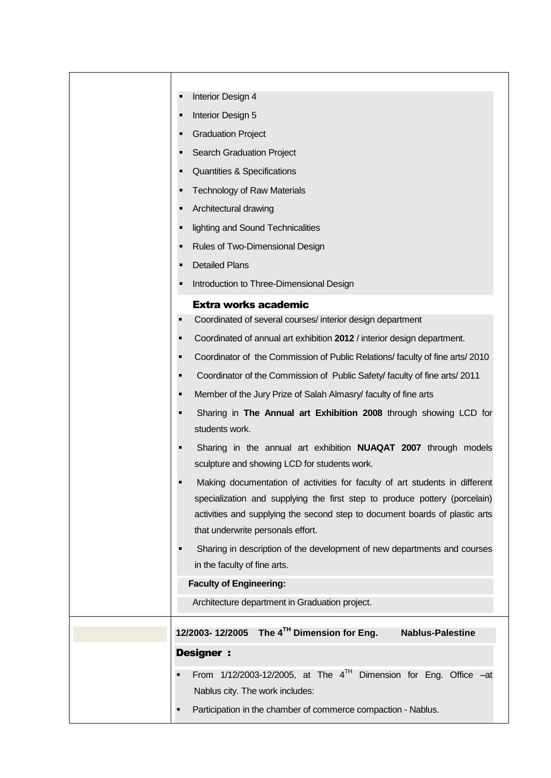| Interior Design 4<br>Е                                                                                                                                                                                                                                                        |
|-------------------------------------------------------------------------------------------------------------------------------------------------------------------------------------------------------------------------------------------------------------------------------|
| Interior Design 5<br>п                                                                                                                                                                                                                                                        |
| <b>Graduation Project</b><br>٠                                                                                                                                                                                                                                                |
| <b>Search Graduation Project</b><br>п                                                                                                                                                                                                                                         |
| Quantities & Specifications<br>п                                                                                                                                                                                                                                              |
| <b>Technology of Raw Materials</b><br>٠                                                                                                                                                                                                                                       |
| Architectural drawing<br>п                                                                                                                                                                                                                                                    |
| lighting and Sound Technicalities<br>п                                                                                                                                                                                                                                        |
| Rules of Two-Dimensional Design<br>п                                                                                                                                                                                                                                          |
| <b>Detailed Plans</b><br>п                                                                                                                                                                                                                                                    |
| Introduction to Three-Dimensional Design<br>٠                                                                                                                                                                                                                                 |
| <b>Extra works academic</b>                                                                                                                                                                                                                                                   |
| Coordinated of several courses/ interior design department                                                                                                                                                                                                                    |
| Coordinated of annual art exhibition 2012 / interior design department.                                                                                                                                                                                                       |
| Coordinator of the Commission of Public Relations/faculty of fine arts/2010                                                                                                                                                                                                   |
| Coordinator of the Commission of Public Safety/ faculty of fine arts/ 2011                                                                                                                                                                                                    |
| Member of the Jury Prize of Salah Almasry/ faculty of fine arts<br>п                                                                                                                                                                                                          |
| Sharing in The Annual art Exhibition 2008 through showing LCD for<br>students work.                                                                                                                                                                                           |
| Sharing in the annual art exhibition <b>NUAQAT 2007</b> through models<br>sculpture and showing LCD for students work.                                                                                                                                                        |
| Making documentation of activities for faculty of art students in different<br>specialization and supplying the first step to produce pottery (porcelain)<br>activities and supplying the second step to document boards of plastic arts<br>that underwrite personals effort. |
| Sharing in description of the development of new departments and courses<br>in the faculty of fine arts.                                                                                                                                                                      |
| <b>Faculty of Engineering:</b>                                                                                                                                                                                                                                                |
| Architecture department in Graduation project.                                                                                                                                                                                                                                |
|                                                                                                                                                                                                                                                                               |
| 12/2003-12/2005 The $4^{TH}$ Dimension for Eng.<br><b>Nablus-Palestine</b>                                                                                                                                                                                                    |
| <b>Designer:</b>                                                                                                                                                                                                                                                              |
| From $1/12/2003-12/2005$ , at The $4^{TH}$ Dimension for Eng. Office -at<br>Nablus city. The work includes:                                                                                                                                                                   |
| Participation in the chamber of commerce compaction - Nablus.                                                                                                                                                                                                                 |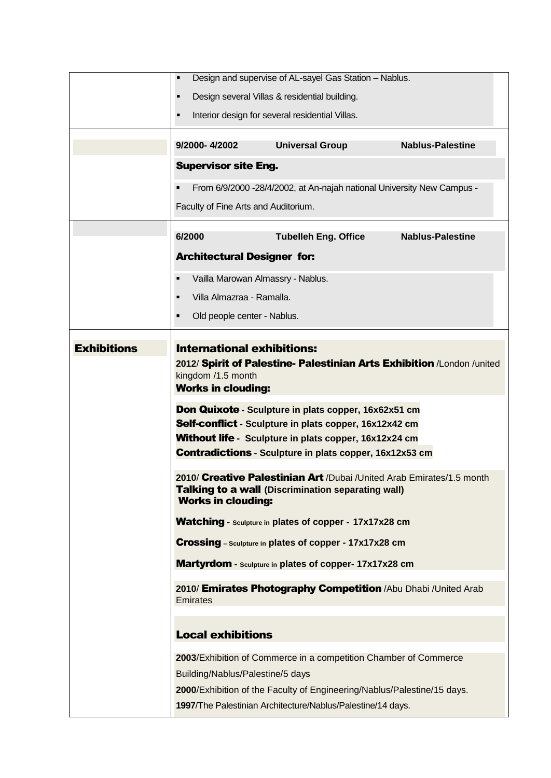|                    | $\blacksquare$                                                                                                                                                                                                                                   | Design and supervise of AL-sayel Gas Station - Nablus.                                                                             |                         |  |  |
|--------------------|--------------------------------------------------------------------------------------------------------------------------------------------------------------------------------------------------------------------------------------------------|------------------------------------------------------------------------------------------------------------------------------------|-------------------------|--|--|
|                    | $\blacksquare$                                                                                                                                                                                                                                   | Design several Villas & residential building.                                                                                      |                         |  |  |
|                    | $\blacksquare$                                                                                                                                                                                                                                   | Interior design for several residential Villas.                                                                                    |                         |  |  |
|                    |                                                                                                                                                                                                                                                  |                                                                                                                                    |                         |  |  |
|                    | 9/2000-4/2002                                                                                                                                                                                                                                    | <b>Universal Group</b>                                                                                                             | <b>Nablus-Palestine</b> |  |  |
|                    | <b>Supervisor site Eng.</b>                                                                                                                                                                                                                      |                                                                                                                                    |                         |  |  |
|                    | п                                                                                                                                                                                                                                                | From 6/9/2000 -28/4/2002, at An-najah national University New Campus -                                                             |                         |  |  |
|                    | Faculty of Fine Arts and Auditorium.                                                                                                                                                                                                             |                                                                                                                                    |                         |  |  |
|                    | 6/2000                                                                                                                                                                                                                                           | <b>Tubelleh Eng. Office</b>                                                                                                        | <b>Nablus-Palestine</b> |  |  |
|                    | <b>Architectural Designer for:</b>                                                                                                                                                                                                               |                                                                                                                                    |                         |  |  |
|                    | $\blacksquare$                                                                                                                                                                                                                                   |                                                                                                                                    |                         |  |  |
|                    |                                                                                                                                                                                                                                                  | Vailla Marowan Almassry - Nablus.                                                                                                  |                         |  |  |
|                    | Villa Almazraa - Ramalla.<br>٠                                                                                                                                                                                                                   |                                                                                                                                    |                         |  |  |
|                    | Old people center - Nablus.<br>٠                                                                                                                                                                                                                 |                                                                                                                                    |                         |  |  |
| <b>Exhibitions</b> | <b>International exhibitions:</b>                                                                                                                                                                                                                |                                                                                                                                    |                         |  |  |
|                    | 2012/ Spirit of Palestine- Palestinian Arts Exhibition /London /united<br>kingdom /1.5 month<br><b>Works in clouding:</b>                                                                                                                        |                                                                                                                                    |                         |  |  |
|                    | Don Quixote - Sculpture in plats copper, 16x62x51 cm<br>Self-conflict - Sculpture in plats copper, 16x12x42 cm<br><b>Without life</b> - Sculpture in plats copper, 16x12x24 cm<br><b>Contradictions - Sculpture in plats copper, 16x12x53 cm</b> |                                                                                                                                    |                         |  |  |
|                    | <b>Works in clouding:</b>                                                                                                                                                                                                                        | 2010/ Creative Palestinian Art /Dubai /United Arab Emirates/1.5 month<br><b>Talking to a wall (Discrimination separating wall)</b> |                         |  |  |
|                    |                                                                                                                                                                                                                                                  | Watching - Sculpture in plates of copper - 17x17x28 cm                                                                             |                         |  |  |
|                    |                                                                                                                                                                                                                                                  | <b>Crossing</b> - Sculpture in plates of copper - 17x17x28 cm                                                                      |                         |  |  |
|                    |                                                                                                                                                                                                                                                  | Martyrdom - Sculpture in plates of copper-17x17x28 cm                                                                              |                         |  |  |
|                    | Emirates                                                                                                                                                                                                                                         | 2010/ Emirates Photography Competition /Abu Dhabi /United Arab                                                                     |                         |  |  |
|                    | <b>Local exhibitions</b>                                                                                                                                                                                                                         |                                                                                                                                    |                         |  |  |
|                    |                                                                                                                                                                                                                                                  | 2003/Exhibition of Commerce in a competition Chamber of Commerce                                                                   |                         |  |  |
|                    | Building/Nablus/Palestine/5 days                                                                                                                                                                                                                 |                                                                                                                                    |                         |  |  |
|                    |                                                                                                                                                                                                                                                  | 2000/Exhibition of the Faculty of Engineering/Nablus/Palestine/15 days.                                                            |                         |  |  |
|                    |                                                                                                                                                                                                                                                  | 1997/The Palestinian Architecture/Nablus/Palestine/14 days.                                                                        |                         |  |  |